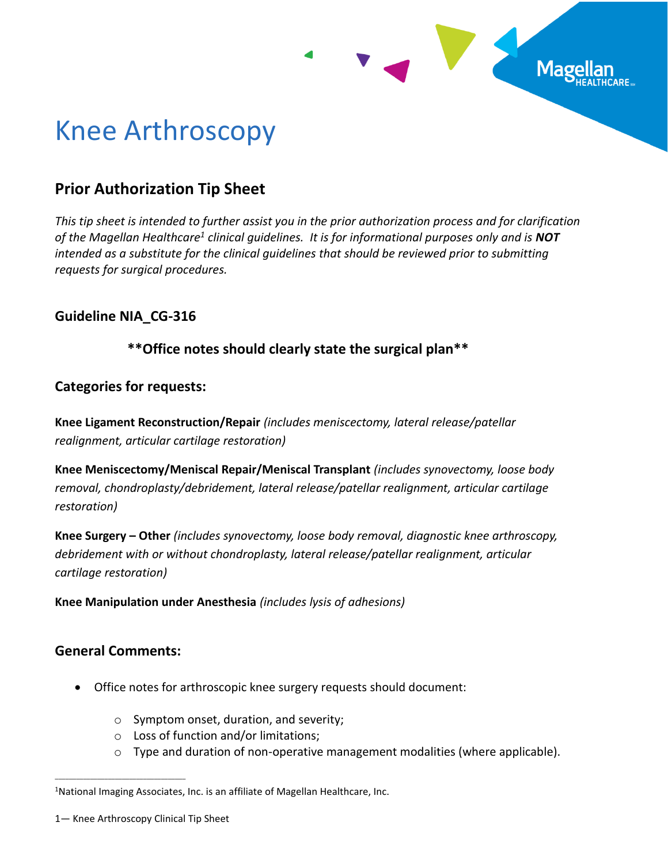

# Knee Arthroscopy

# **Prior Authorization Tip Sheet**

*This tip sheet is intended to further assist you in the prior authorization process and for clarification of the Magellan Healthcare<sup>1</sup> clinical guidelines. It is for informational purposes only and is NOT intended as a substitute for the clinical guidelines that should be reviewed prior to submitting requests for surgical procedures.*

# **Guideline NIA\_CG-316**

# **\*\*Office notes should clearly state the surgical plan\*\***

# **Categories for requests:**

**Knee Ligament Reconstruction/Repair** *(includes meniscectomy, lateral release/patellar realignment, articular cartilage restoration)*

**Knee Meniscectomy/Meniscal Repair/Meniscal Transplant** *(includes synovectomy, loose body removal, chondroplasty/debridement, lateral release/patellar realignment, articular cartilage restoration)*

**Knee Surgery – Other** *(includes synovectomy, loose body removal, diagnostic knee arthroscopy, debridement with or without chondroplasty, lateral release/patellar realignment, articular cartilage restoration)*

**Knee Manipulation under Anesthesia** *(includes lysis of adhesions)*

## **General Comments:**

\_\_\_\_\_\_\_\_\_\_\_\_\_\_\_\_\_\_\_\_\_\_\_\_\_\_\_\_\_\_\_\_\_\_\_\_\_

- Office notes for arthroscopic knee surgery requests should document:
	- o Symptom onset, duration, and severity;
	- o Loss of function and/or limitations;
	- o Type and duration of non-operative management modalities (where applicable).

<sup>&</sup>lt;sup>1</sup>National Imaging Associates, Inc. is an affiliate of Magellan Healthcare, Inc.

<sup>1</sup>— Knee Arthroscopy Clinical Tip Sheet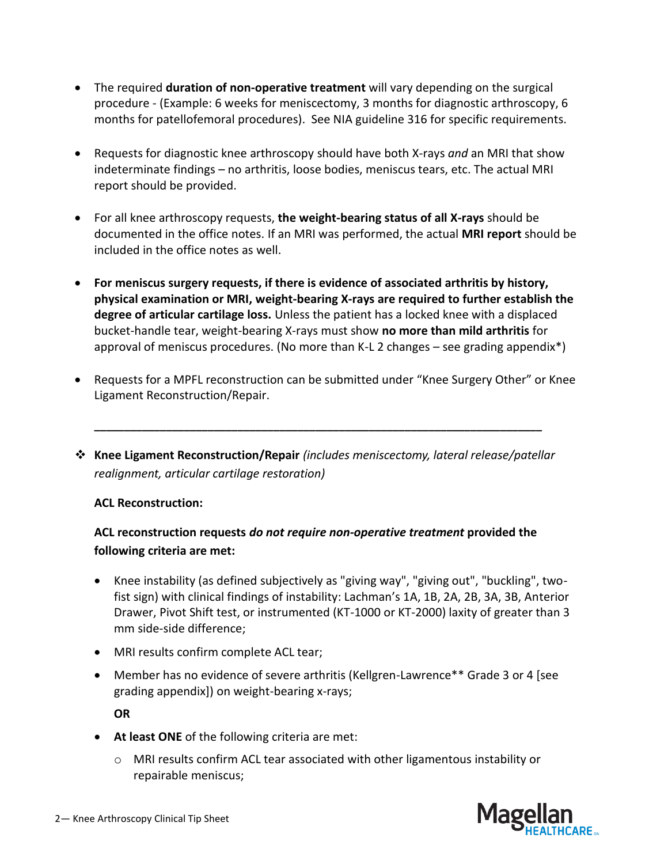- The required **duration of non-operative treatment** will vary depending on the surgical procedure - (Example: 6 weeks for meniscectomy, 3 months for diagnostic arthroscopy, 6 months for patellofemoral procedures). See NIA guideline 316 for specific requirements.
- Requests for diagnostic knee arthroscopy should have both X-rays *and* an MRI that show indeterminate findings – no arthritis, loose bodies, meniscus tears, etc. The actual MRI report should be provided.
- For all knee arthroscopy requests, **the weight-bearing status of all X-rays** should be documented in the office notes. If an MRI was performed, the actual **MRI report** should be included in the office notes as well.
- **For meniscus surgery requests, if there is evidence of associated arthritis by history, physical examination or MRI, weight-bearing X-rays are required to further establish the degree of articular cartilage loss.** Unless the patient has a locked knee with a displaced bucket-handle tear, weight-bearing X-rays must show **no more than mild arthritis** for approval of meniscus procedures. (No more than K-L 2 changes – see grading appendix\*)
- Requests for a MPFL reconstruction can be submitted under "Knee Surgery Other" or Knee Ligament Reconstruction/Repair.
- ❖ **Knee Ligament Reconstruction/Repair** *(includes meniscectomy, lateral release/patellar realignment, articular cartilage restoration)*

**\_\_\_\_\_\_\_\_\_\_\_\_\_\_\_\_\_\_\_\_\_\_\_\_\_\_\_\_\_\_\_\_\_\_\_\_\_\_\_\_\_\_\_\_\_\_\_\_\_\_\_\_\_\_\_\_\_\_\_\_\_\_\_\_\_\_\_\_\_\_\_\_\_\_\_**

## **ACL Reconstruction:**

# **ACL reconstruction requests** *do not require non-operative treatment* **provided the following criteria are met:**

- Knee instability (as defined subjectively as "giving way", "giving out", "buckling", twofist sign) with clinical findings of instability: Lachman's 1A, 1B, 2A, 2B, 3A, 3B, Anterior Drawer, Pivot Shift test, or instrumented (KT-1000 or KT-2000) laxity of greater than 3 mm side-side difference;
- MRI results confirm complete ACL tear;
- Member has no evidence of severe arthritis (Kellgren-Lawrence\*\* Grade 3 or 4 [see grading appendix]) on weight-bearing x-rays;

**OR** 

- **At least ONE** of the following criteria are met:
	- $\circ$  MRI results confirm ACL tear associated with other ligamentous instability or repairable meniscus;

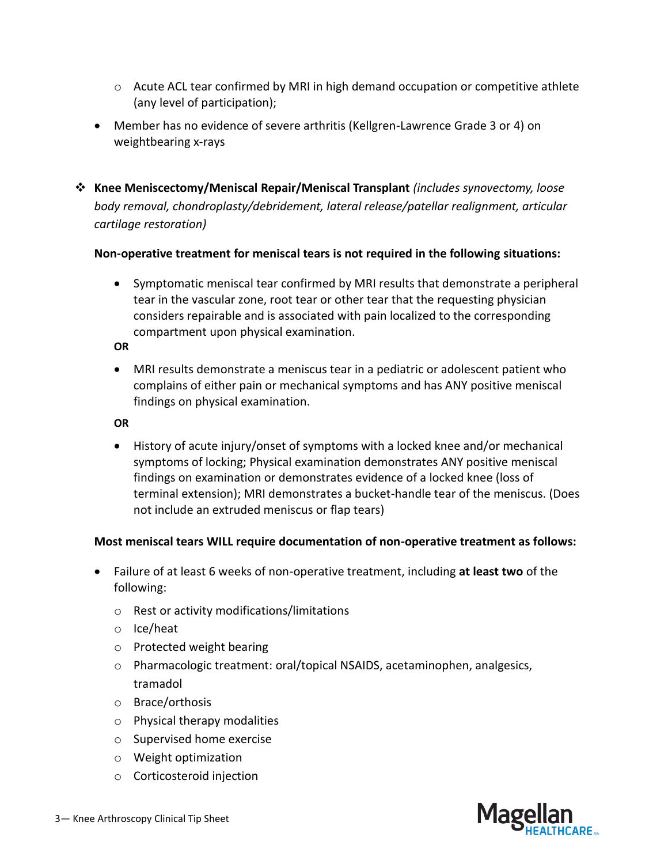- $\circ$  Acute ACL tear confirmed by MRI in high demand occupation or competitive athlete (any level of participation);
- Member has no evidence of severe arthritis (Kellgren-Lawrence Grade 3 or 4) on weightbearing x-rays
- ❖ **Knee Meniscectomy/Meniscal Repair/Meniscal Transplant** *(includes synovectomy, loose body removal, chondroplasty/debridement, lateral release/patellar realignment, articular cartilage restoration)*

#### **Non-operative treatment for meniscal tears is not required in the following situations:**

• Symptomatic meniscal tear confirmed by MRI results that demonstrate a peripheral tear in the vascular zone, root tear or other tear that the requesting physician considers repairable and is associated with pain localized to the corresponding compartment upon physical examination.

#### **OR**

• MRI results demonstrate a meniscus tear in a pediatric or adolescent patient who complains of either pain or mechanical symptoms and has ANY positive meniscal findings on physical examination.

#### **OR**

• History of acute injury/onset of symptoms with a locked knee and/or mechanical symptoms of locking; Physical examination demonstrates ANY positive meniscal findings on examination or demonstrates evidence of a locked knee (loss of terminal extension); MRI demonstrates a bucket-handle tear of the meniscus. (Does not include an extruded meniscus or flap tears)

#### **Most meniscal tears WILL require documentation of non-operative treatment as follows:**

- Failure of at least 6 weeks of non-operative treatment, including **at least two** of the following:
	- o Rest or activity modifications/limitations
	- o Ice/heat
	- o Protected weight bearing
	- o Pharmacologic treatment: oral/topical NSAIDS, acetaminophen, analgesics, tramadol
	- o Brace/orthosis
	- o Physical therapy modalities
	- o Supervised home exercise
	- o Weight optimization
	- o Corticosteroid injection

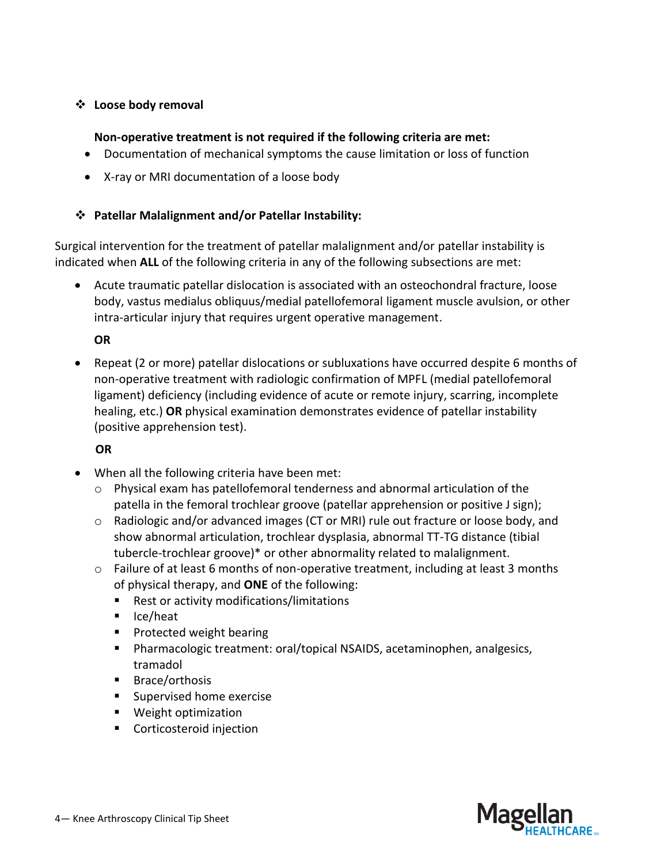## ❖ **Loose body removal**

## **Non-operative treatment is not required if the following criteria are met:**

- Documentation of mechanical symptoms the cause limitation or loss of function
- X-ray or MRI documentation of a loose body

# ❖ **Patellar Malalignment and/or Patellar Instability:**

Surgical intervention for the treatment of patellar malalignment and/or patellar instability is indicated when **ALL** of the following criteria in any of the following subsections are met:

• Acute traumatic patellar dislocation is associated with an osteochondral fracture, loose body, vastus medialus obliquus/medial patellofemoral ligament muscle avulsion, or other intra-articular injury that requires urgent operative management.

**OR** 

• Repeat (2 or more) patellar dislocations or subluxations have occurred despite 6 months of non-operative treatment with radiologic confirmation of MPFL (medial patellofemoral ligament) deficiency (including evidence of acute or remote injury, scarring, incomplete healing, etc.) **OR** physical examination demonstrates evidence of patellar instability (positive apprehension test).

# **OR**

- When all the following criteria have been met:
	- $\circ$  Physical exam has patellofemoral tenderness and abnormal articulation of the patella in the femoral trochlear groove (patellar apprehension or positive J sign);
	- $\circ$  Radiologic and/or advanced images (CT or MRI) rule out fracture or loose body, and show abnormal articulation, trochlear dysplasia, abnormal TT-TG distance (tibial tubercle-trochlear groove)\* or other abnormality related to malalignment.
	- $\circ$  Failure of at least 6 months of non-operative treatment, including at least 3 months of physical therapy, and **ONE** of the following:
		- Rest or activity modifications/limitations
		- Ice/heat
		- Protected weight bearing
		- Pharmacologic treatment: oral/topical NSAIDS, acetaminophen, analgesics, tramadol
		- Brace/orthosis
		- Supervised home exercise
		- Weight optimization
		- Corticosteroid injection

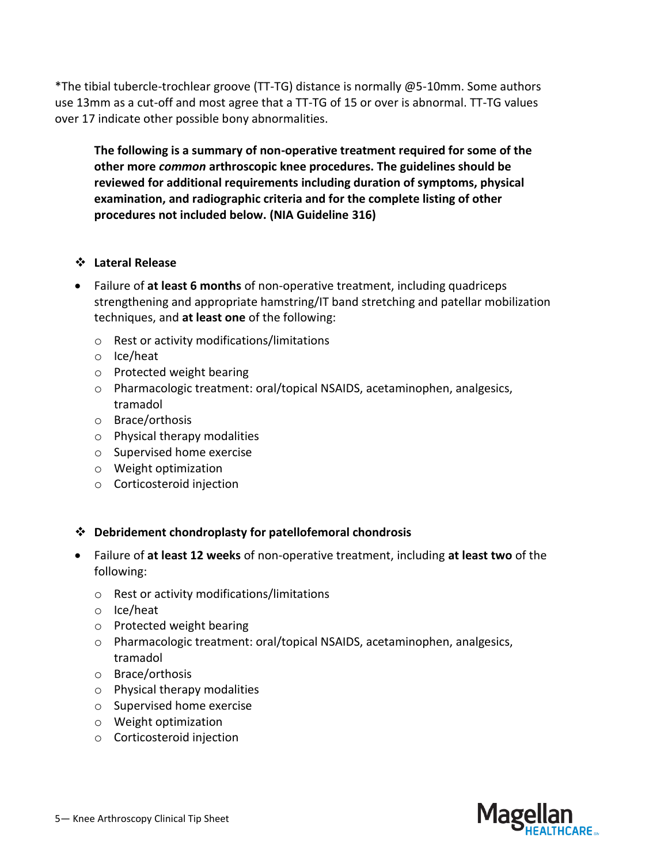\*The tibial tubercle-trochlear groove (TT-TG) distance is normally @5-10mm. Some authors use 13mm as a cut-off and most agree that a TT-TG of 15 or over is abnormal. TT-TG values over 17 indicate other possible bony abnormalities.

**The following is a summary of non-operative treatment required for some of the other more** *common* **arthroscopic knee procedures. The guidelines should be reviewed for additional requirements including duration of symptoms, physical examination, and radiographic criteria and for the complete listing of other procedures not included below. (NIA Guideline 316)**

#### ❖ **Lateral Release**

- Failure of **at least 6 months** of non-operative treatment, including quadriceps strengthening and appropriate hamstring/IT band stretching and patellar mobilization techniques, and **at least one** of the following:
	- o Rest or activity modifications/limitations
	- o Ice/heat
	- o Protected weight bearing
	- o Pharmacologic treatment: oral/topical NSAIDS, acetaminophen, analgesics, tramadol
	- o Brace/orthosis
	- o Physical therapy modalities
	- o Supervised home exercise
	- o Weight optimization
	- o Corticosteroid injection

#### ❖ **Debridement chondroplasty for patellofemoral chondrosis**

- Failure of **at least 12 weeks** of non-operative treatment, including **at least two** of the following:
	- o Rest or activity modifications/limitations
	- o Ice/heat
	- o Protected weight bearing
	- o Pharmacologic treatment: oral/topical NSAIDS, acetaminophen, analgesics, tramadol
	- o Brace/orthosis
	- o Physical therapy modalities
	- o Supervised home exercise
	- o Weight optimization
	- o Corticosteroid injection